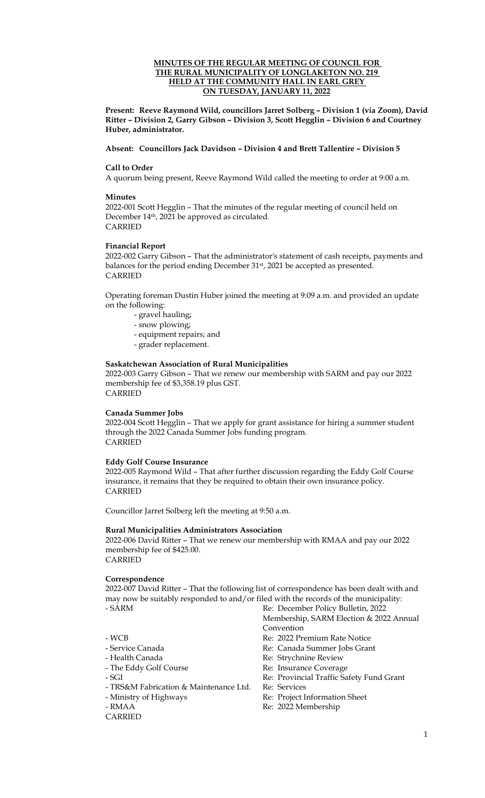### **MINUTES OF THE REGULAR MEETING OF COUNCIL FOR THE RURAL MUNICIPALITY OF LONGLAKETON NO. 219 HELD AT THE COMMUNITY HALL IN EARL GREY ON TUESDAY, JANUARY 11, 2022**

**Present: Reeve Raymond Wild, councillors Jarret Solberg – Division 1 (via Zoom), David Ritter – Division 2, Garry Gibson – Division 3, Scott Hegglin – Division 6 and Courtney Huber, administrator.**

#### **Absent: Councillors Jack Davidson – Division 4 and Brett Tallentire – Division 5**

### **Call to Order**

A quorum being present, Reeve Raymond Wild called the meeting to order at 9:00 a.m.

#### **Minutes**

2022-001 Scott Hegglin – That the minutes of the regular meeting of council held on December 14th, 2021 be approved as circulated. CARRIED

### **Financial Report**

2022-002 Garry Gibson – That the administrator's statement of cash receipts, payments and balances for the period ending December 31<sup>st</sup>, 2021 be accepted as presented. CARRIED

Operating foreman Dustin Huber joined the meeting at 9:09 a.m. and provided an update on the following:

- gravel hauling;
- snow plowing;
- equipment repairs; and
- grader replacement.

### **Saskatchewan Association of Rural Municipalities**

2022-003 Garry Gibson – That we renew our membership with SARM and pay our 2022 membership fee of \$3,358.19 plus GST. CARRIED

# **Canada Summer Jobs**

2022-004 Scott Hegglin – That we apply for grant assistance for hiring a summer student through the 2022 Canada Summer Jobs funding program. CARRIED

#### **Eddy Golf Course Insurance**

2022-005 Raymond Wild – That after further discussion regarding the Eddy Golf Course insurance, it remains that they be required to obtain their own insurance policy. CARRIED

Councillor Jarret Solberg left the meeting at 9:50 a.m.

## **Rural Municipalities Administrators Association**

2022-006 David Ritter – That we renew our membership with RMAA and pay our 2022 membership fee of \$425.00.

CARRIED

#### **Correspondence**

2022-007 David Ritter – That the following list of correspondence has been dealt with and may now be suitably responded to and/or filed with the records of the municipality: - SARM Re: December Policy Bulletin, 2022

- 
- 
- 
- 
- 
- TRS&M Fabrication & Maintenance Ltd. Re: Services
- 
- 
- CARRIED
- Membership, SARM Election & 2022 Annual Convention
- WCB<br>
Service Canada<br>
Service Canada<br>
Re: Canada Summer Jobs Gran
	- Re: Canada Summer Jobs Grant
- Health Canada Re: Strychnine Review
- The Eddy Golf Course Re: Insurance Coverage - SGI Re: Provincial Traffic Safety Fund Grant
	-
	-
- Ministry of Highways Re: Project Information Sheet
- RMAA Re: 2022 Membership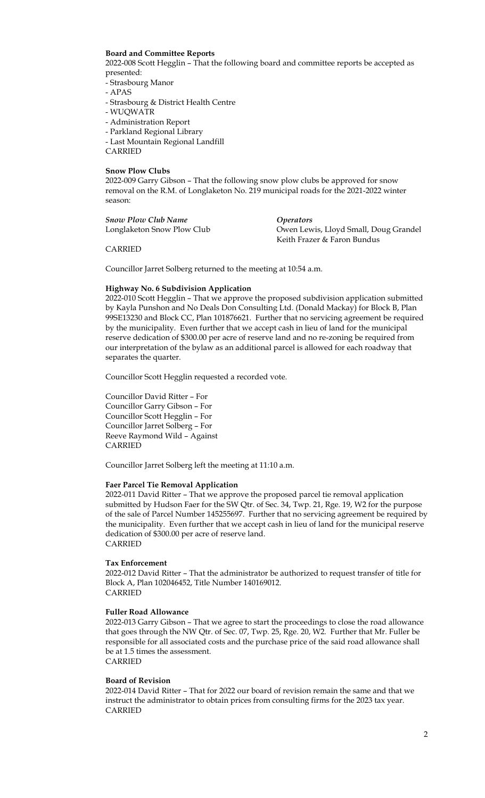### **Board and Committee Reports**

2022-008 Scott Hegglin – That the following board and committee reports be accepted as presented:

- Strasbourg Manor
- APAS
- Strasbourg & District Health Centre
- WUQWATR
- Administration Report
- Parkland Regional Library
- Last Mountain Regional Landfill

CARRIED

#### **Snow Plow Clubs**

2022-009 Garry Gibson – That the following snow plow clubs be approved for snow removal on the R.M. of Longlaketon No. 219 municipal roads for the 2021-2022 winter season:

| Snow Plow Club Name        | <i>Operators</i>                      |
|----------------------------|---------------------------------------|
| Longlaketon Snow Plow Club | Owen Lewis, Lloyd Small, Doug Grandel |
|                            | Keith Frazer & Faron Bundus           |

CARRIED

Councillor Jarret Solberg returned to the meeting at 10:54 a.m.

## **Highway No. 6 Subdivision Application**

2022-010 Scott Hegglin – That we approve the proposed subdivision application submitted by Kayla Punshon and No Deals Don Consulting Ltd. (Donald Mackay) for Block B, Plan 99SE13230 and Block CC, Plan 101876621. Further that no servicing agreement be required by the municipality. Even further that we accept cash in lieu of land for the municipal reserve dedication of \$300.00 per acre of reserve land and no re-zoning be required from our interpretation of the bylaw as an additional parcel is allowed for each roadway that separates the quarter.

Councillor Scott Hegglin requested a recorded vote.

Councillor David Ritter – For Councillor Garry Gibson – For Councillor Scott Hegglin – For Councillor Jarret Solberg – For Reeve Raymond Wild – Against CARRIED

Councillor Jarret Solberg left the meeting at 11:10 a.m.

#### **Faer Parcel Tie Removal Application**

2022-011 David Ritter – That we approve the proposed parcel tie removal application submitted by Hudson Faer for the SW Qtr. of Sec. 34, Twp. 21, Rge. 19, W2 for the purpose of the sale of Parcel Number 145255697. Further that no servicing agreement be required by the municipality. Even further that we accept cash in lieu of land for the municipal reserve dedication of \$300.00 per acre of reserve land. CARRIED

#### **Tax Enforcement**

2022-012 David Ritter – That the administrator be authorized to request transfer of title for Block A, Plan 102046452, Title Number 140169012. CARRIED

#### **Fuller Road Allowance**

2022-013 Garry Gibson – That we agree to start the proceedings to close the road allowance that goes through the NW Qtr. of Sec. 07, Twp. 25, Rge. 20, W2. Further that Mr. Fuller be responsible for all associated costs and the purchase price of the said road allowance shall be at 1.5 times the assessment. CARRIED

# **Board of Revision**

2022-014 David Ritter – That for 2022 our board of revision remain the same and that we instruct the administrator to obtain prices from consulting firms for the 2023 tax year. CARRIED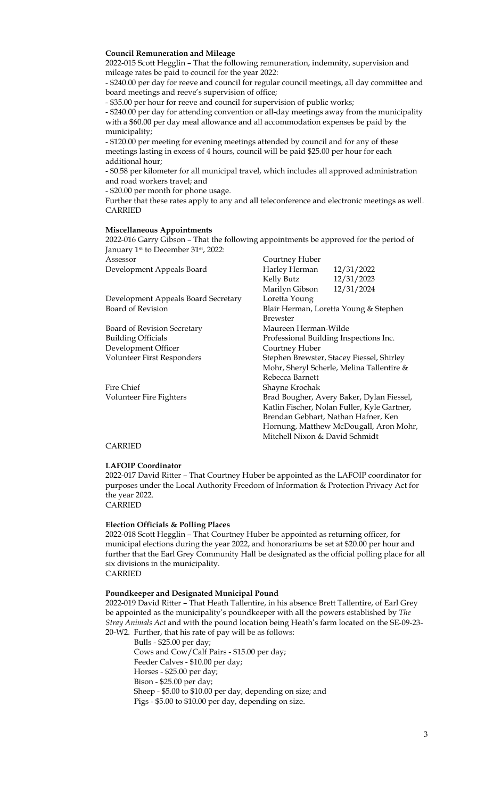## **Council Remuneration and Mileage**

2022-015 Scott Hegglin – That the following remuneration, indemnity, supervision and mileage rates be paid to council for the year 2022:

- \$240.00 per day for reeve and council for regular council meetings, all day committee and board meetings and reeve's supervision of office;

- \$35.00 per hour for reeve and council for supervision of public works;

- \$240.00 per day for attending convention or all-day meetings away from the municipality with a \$60.00 per day meal allowance and all accommodation expenses be paid by the municipality;

- \$120.00 per meeting for evening meetings attended by council and for any of these meetings lasting in excess of 4 hours, council will be paid \$25.00 per hour for each additional hour;

- \$0.58 per kilometer for all municipal travel, which includes all approved administration and road workers travel; and

- \$20.00 per month for phone usage.

Further that these rates apply to any and all teleconference and electronic meetings as well. CARRIED

### **Miscellaneous Appointments**

2022-016 Garry Gibson – That the following appointments be approved for the period of January 1<sup>st</sup> to December 31<sup>st</sup>, 2022: Assessor Courtney Huber

| 12/31/2022<br>Harley Herman                 |  |
|---------------------------------------------|--|
| 12/31/2023<br>Kelly Butz                    |  |
| 12/31/2024<br>Marilyn Gibson                |  |
| Loretta Young                               |  |
| Blair Herman, Loretta Young & Stephen       |  |
| <b>Brewster</b>                             |  |
| Maureen Herman-Wilde                        |  |
| Professional Building Inspections Inc.      |  |
| Courtney Huber                              |  |
| Stephen Brewster, Stacey Fiessel, Shirley   |  |
| Mohr, Sheryl Scherle, Melina Tallentire &   |  |
| Rebecca Barnett                             |  |
| Shayne Krochak                              |  |
| Brad Bougher, Avery Baker, Dylan Fiessel,   |  |
| Katlin Fischer, Nolan Fuller, Kyle Gartner, |  |
| Brendan Gebhart, Nathan Hafner, Ken         |  |
| Hornung, Matthew McDougall, Aron Mohr,      |  |
| Mitchell Nixon & David Schmidt              |  |
|                                             |  |

## CARRIED

#### **LAFOIP Coordinator**

2022-017 David Ritter – That Courtney Huber be appointed as the LAFOIP coordinator for purposes under the Local Authority Freedom of Information & Protection Privacy Act for the year 2022.

CARRIED

## **Election Officials & Polling Places**

2022-018 Scott Hegglin – That Courtney Huber be appointed as returning officer, for municipal elections during the year 2022, and honorariums be set at \$20.00 per hour and further that the Earl Grey Community Hall be designated as the official polling place for all six divisions in the municipality.

CARRIED

#### **Poundkeeper and Designated Municipal Pound**

2022-019 David Ritter – That Heath Tallentire, in his absence Brett Tallentire, of Earl Grey be appointed as the municipality's poundkeeper with all the powers established by *The Stray Animals Act* and with the pound location being Heath's farm located on the SE-09-23- 20-W2. Further, that his rate of pay will be as follows:

Bulls - \$25.00 per day; Cows and Cow/Calf Pairs - \$15.00 per day; Feeder Calves - \$10.00 per day; Horses - \$25.00 per day; Bison - \$25.00 per day; Sheep - \$5.00 to \$10.00 per day, depending on size; and Pigs - \$5.00 to \$10.00 per day, depending on size.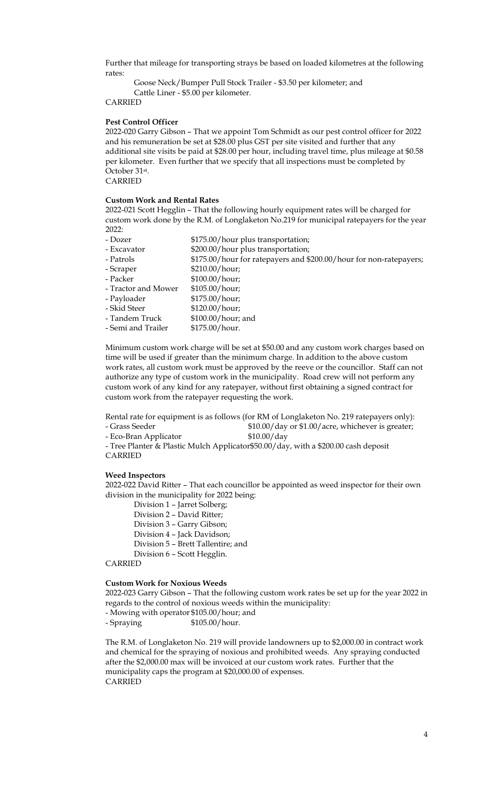Further that mileage for transporting strays be based on loaded kilometres at the following rates:

Goose Neck/Bumper Pull Stock Trailer - \$3.50 per kilometer; and Cattle Liner - \$5.00 per kilometer.

CARRIED

#### **Pest Control Officer**

2022-020 Garry Gibson – That we appoint Tom Schmidt as our pest control officer for 2022 and his remuneration be set at \$28.00 plus GST per site visited and further that any additional site visits be paid at \$28.00 per hour, including travel time, plus mileage at \$0.58 per kilometer. Even further that we specify that all inspections must be completed by October 31st.

CARRIED

## **Custom Work and Rental Rates**

2022-021 Scott Hegglin – That the following hourly equipment rates will be charged for custom work done by the R.M. of Longlaketon No.219 for municipal ratepayers for the year  $2022:$ 

- Dozer  $$175.00/hour plus transportation;$ - Excavator \$200.00/hour plus transportation; - Patrols \$175.00/hour for ratepayers and \$200.00/hour for non-ratepayers; - Scraper \$210.00/hour; - Packer \$100.00/hour; - Tractor and Mower \$105.00/hour; - Payloader \$175.00/hour; - Skid Steer \$120.00/hour;<br>- Tandem Truck \$100.00/hour:  $$100.00/h$ our; and - Semi and Trailer \$175.00/hour.

Minimum custom work charge will be set at \$50.00 and any custom work charges based on time will be used if greater than the minimum charge. In addition to the above custom work rates, all custom work must be approved by the reeve or the councillor. Staff can not authorize any type of custom work in the municipality. Road crew will not perform any custom work of any kind for any ratepayer, without first obtaining a signed contract for custom work from the ratepayer requesting the work.

Rental rate for equipment is as follows (for RM of Longlaketon No. 219 ratepayers only): - Grass Seeder \$10.00/day or \$1.00/acre, whichever is greater;

- Eco-Bran Applicator \$10.00/day

- Tree Planter & Plastic Mulch Applicator\$50.00/day, with a \$200.00 cash deposit CARRIED

#### **Weed Inspectors**

2022-022 David Ritter – That each councillor be appointed as weed inspector for their own division in the municipality for 2022 being:

Division 1 – Jarret Solberg;

- Division 2 David Ritter;
- Division 3 Garry Gibson;
- Division 4 Jack Davidson;
- Division 5 Brett Tallentire; and
- Division 6 Scott Hegglin.

CARRIED

### **Custom Work for Noxious Weeds**

2022-023 Garry Gibson – That the following custom work rates be set up for the year 2022 in regards to the control of noxious weeds within the municipality:

- Mowing with operator \$105.00/hour; and

- Spraying \$105.00/hour.

The R.M. of Longlaketon No. 219 will provide landowners up to \$2,000.00 in contract work and chemical for the spraying of noxious and prohibited weeds. Any spraying conducted after the \$2,000.00 max will be invoiced at our custom work rates. Further that the municipality caps the program at \$20,000.00 of expenses. CARRIED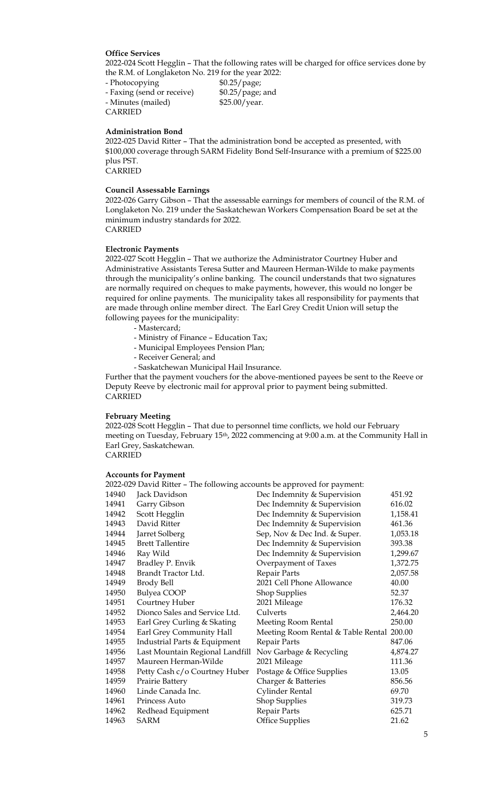## **Office Services**

2022-024 Scott Hegglin – That the following rates will be charged for office services done by the R.M. of Longlaketon No. 219 for the year 2022:

- Photocopying \$0.25/page; - Faxing (send or receive) \$0.25/page; and - Minutes (mailed) \$25.00/year. CARRIED

#### **Administration Bond**

2022-025 David Ritter – That the administration bond be accepted as presented, with \$100,000 coverage through SARM Fidelity Bond Self-Insurance with a premium of \$225.00 plus PST.

CARRIED

## **Council Assessable Earnings**

2022-026 Garry Gibson – That the assessable earnings for members of council of the R.M. of Longlaketon No. 219 under the Saskatchewan Workers Compensation Board be set at the minimum industry standards for 2022. CARRIED

#### **Electronic Payments**

2022-027 Scott Hegglin – That we authorize the Administrator Courtney Huber and Administrative Assistants Teresa Sutter and Maureen Herman-Wilde to make payments through the municipality's online banking. The council understands that two signatures are normally required on cheques to make payments, however, this would no longer be required for online payments. The municipality takes all responsibility for payments that are made through online member direct. The Earl Grey Credit Union will setup the following payees for the municipality:

- Mastercard;
- Ministry of Finance Education Tax;
- Municipal Employees Pension Plan;
- Receiver General; and
- Saskatchewan Municipal Hail Insurance.

Further that the payment vouchers for the above-mentioned payees be sent to the Reeve or Deputy Reeve by electronic mail for approval prior to payment being submitted. CARRIED

#### **February Meeting**

2022-028 Scott Hegglin – That due to personnel time conflicts, we hold our February meeting on Tuesday, February 15<sup>th</sup>, 2022 commencing at 9:00 a.m. at the Community Hall in Earl Grey, Saskatchewan. CARRIED

#### **Accounts for Payment**

|       | 2022-029 David Ritter – The following accounts be approved for payment: |                                           |          |
|-------|-------------------------------------------------------------------------|-------------------------------------------|----------|
| 14940 | Jack Davidson                                                           | Dec Indemnity & Supervision               | 451.92   |
| 14941 | Garry Gibson                                                            | Dec Indemnity & Supervision               | 616.02   |
| 14942 | Scott Hegglin                                                           | Dec Indemnity & Supervision               | 1,158.41 |
| 14943 | David Ritter                                                            | Dec Indemnity & Supervision               | 461.36   |
| 14944 | Jarret Solberg                                                          | Sep, Nov & Dec Ind. & Super.              | 1,053.18 |
| 14945 | <b>Brett Tallentire</b>                                                 | Dec Indemnity & Supervision               | 393.38   |
| 14946 | Ray Wild                                                                | Dec Indemnity & Supervision               | 1,299.67 |
| 14947 | Bradley P. Envik                                                        | Overpayment of Taxes                      | 1,372.75 |
| 14948 | Brandt Tractor Ltd.                                                     | Repair Parts                              | 2,057.58 |
| 14949 | Brody Bell                                                              | 2021 Cell Phone Allowance                 | 40.00    |
| 14950 | Bulyea COOP                                                             | <b>Shop Supplies</b>                      | 52.37    |
| 14951 | Courtney Huber                                                          | 2021 Mileage                              | 176.32   |
| 14952 | Dionco Sales and Service Ltd.                                           | Culverts                                  | 2,464.20 |
| 14953 | Earl Grey Curling & Skating                                             | Meeting Room Rental                       | 250.00   |
| 14954 | Earl Grey Community Hall                                                | Meeting Room Rental & Table Rental 200.00 |          |
| 14955 | Industrial Parts & Equipment                                            | Repair Parts                              | 847.06   |
| 14956 | Last Mountain Regional Landfill                                         | Nov Garbage & Recycling                   | 4,874.27 |
| 14957 | Maureen Herman-Wilde                                                    | 2021 Mileage                              | 111.36   |
| 14958 | Petty Cash c/o Courtney Huber                                           | Postage & Office Supplies                 | 13.05    |
| 14959 | Prairie Battery                                                         | Charger & Batteries                       | 856.56   |
| 14960 | Linde Canada Inc.                                                       | Cylinder Rental                           | 69.70    |
| 14961 | Princess Auto                                                           | <b>Shop Supplies</b>                      | 319.73   |
| 14962 | Redhead Equipment                                                       | Repair Parts                              | 625.71   |
| 14963 | <b>SARM</b>                                                             | <b>Office Supplies</b>                    | 21.62    |
|       |                                                                         |                                           |          |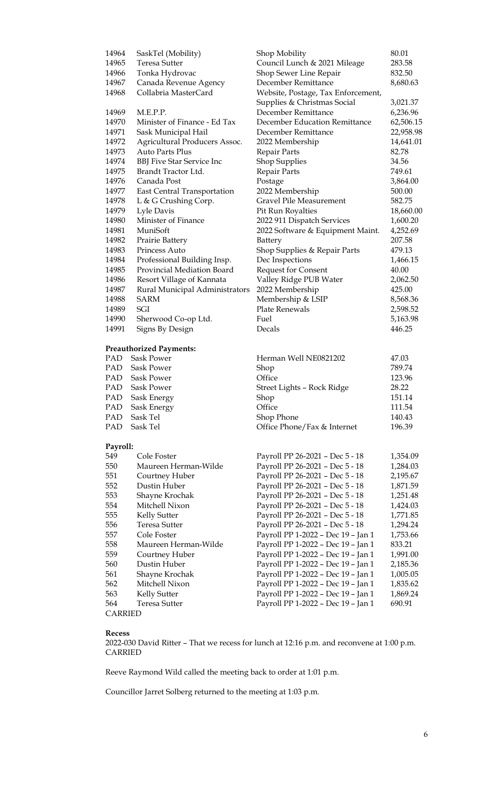| 14964          | SaskTel (Mobility)                                  | Shop Mobility                                                  | 80.01     |
|----------------|-----------------------------------------------------|----------------------------------------------------------------|-----------|
| 14965          | <b>Teresa Sutter</b>                                | Council Lunch & 2021 Mileage                                   | 283.58    |
| 14966          | Tonka Hydrovac                                      | Shop Sewer Line Repair                                         | 832.50    |
| 14967          | Canada Revenue Agency                               | December Remittance                                            | 8,680.63  |
| 14968          | Collabria MasterCard                                | Website, Postage, Tax Enforcement,                             |           |
|                |                                                     | Supplies & Christmas Social                                    | 3,021.37  |
| 14969          | M.E.P.P.                                            | December Remittance                                            | 6,236.96  |
| 14970          | Minister of Finance - Ed Tax                        | December Education Remittance                                  | 62,506.15 |
| 14971          | Sask Municipal Hail                                 | December Remittance                                            | 22,958.98 |
| 14972          | Agricultural Producers Assoc.                       | 2022 Membership                                                | 14,641.01 |
| 14973          | <b>Auto Parts Plus</b>                              | Repair Parts                                                   | 82.78     |
| 14974          | <b>BBJ</b> Five Star Service Inc                    | <b>Shop Supplies</b>                                           | 34.56     |
| 14975          | Brandt Tractor Ltd.                                 | Repair Parts                                                   | 749.61    |
| 14976          | Canada Post                                         | Postage                                                        | 3,864.00  |
| 14977          | East Central Transportation                         | 2022 Membership                                                | 500.00    |
| 14978          | L & G Crushing Corp.                                | Gravel Pile Measurement                                        | 582.75    |
| 14979          | Lyle Davis                                          |                                                                | 18,660.00 |
| 14980          | Minister of Finance                                 | Pit Run Royalties                                              |           |
| 14981          | MuniSoft                                            | 2022 911 Dispatch Services<br>2022 Software & Equipment Maint. | 1,600.20  |
|                |                                                     |                                                                | 4,252.69  |
| 14982          | Prairie Battery                                     | Battery                                                        | 207.58    |
| 14983          | Princess Auto                                       | Shop Supplies & Repair Parts                                   | 479.13    |
| 14984          | Professional Building Insp.                         | Dec Inspections                                                | 1,466.15  |
| 14985          | Provincial Mediation Board                          | <b>Request for Consent</b>                                     | 40.00     |
| 14986          | Resort Village of Kannata                           | Valley Ridge PUB Water                                         | 2,062.50  |
| 14987          | Rural Municipal Administrators                      | 2022 Membership                                                | 425.00    |
| 14988          | <b>SARM</b>                                         | Membership & LSIP                                              | 8,568.36  |
| 14989          | SGI                                                 | <b>Plate Renewals</b>                                          | 2,598.52  |
| 14990          | Sherwood Co-op Ltd.                                 | Fuel                                                           | 5,163.98  |
| 14991          | Signs By Design                                     | Decals                                                         | 446.25    |
|                |                                                     |                                                                |           |
| <b>PAD</b>     | <b>Preauthorized Payments:</b><br><b>Sask Power</b> | Herman Well NE0821202                                          |           |
|                |                                                     |                                                                | 47.03     |
| PAD.           | Sask Power                                          | Shop                                                           | 789.74    |
| PAD            | Sask Power                                          | Office                                                         | 123.96    |
| <b>PAD</b>     | <b>Sask Power</b>                                   | Street Lights - Rock Ridge                                     | 28.22     |
| PAD            | Sask Energy                                         | Shop                                                           | 151.14    |
| PAD            | Sask Energy                                         | Office                                                         | 111.54    |
| PAD            | Sask Tel                                            | Shop Phone                                                     | 140.43    |
| PAD            | Sask Tel                                            | Office Phone/Fax & Internet                                    | 196.39    |
| Payroll:       |                                                     |                                                                |           |
| 549            | Cole Foster                                         | Payroll PP 26-2021 - Dec 5 - 18                                | 1,354.09  |
| 550            | Maureen Herman-Wilde                                | Payroll PP 26-2021 - Dec 5 - 18                                | 1,284.03  |
| 551            |                                                     | Payroll PP 26-2021 - Dec 5 - 18                                |           |
|                | Courtney Huber                                      |                                                                | 2,195.67  |
| 552            | Dustin Huber                                        | Payroll PP 26-2021 - Dec 5 - 18                                | 1,871.59  |
| 553            | Shayne Krochak                                      | Payroll PP 26-2021 - Dec 5 - 18                                | 1,251.48  |
| 554            | Mitchell Nixon                                      | Payroll PP 26-2021 - Dec 5 - 18                                | 1,424.03  |
| 555            | Kelly Sutter                                        | Payroll PP 26-2021 - Dec 5 - 18                                | 1,771.85  |
| 556            | <b>Teresa Sutter</b>                                | Payroll PP 26-2021 - Dec 5 - 18                                | 1,294.24  |
| 557            | Cole Foster                                         | Payroll PP 1-2022 - Dec 19 - Jan 1                             | 1,753.66  |
| 558            | Maureen Herman-Wilde                                | Payroll PP 1-2022 - Dec 19 - Jan 1                             | 833.21    |
| 559            | Courtney Huber                                      | Payroll PP 1-2022 - Dec 19 - Jan 1                             | 1,991.00  |
| 560            | Dustin Huber                                        | Payroll PP 1-2022 - Dec 19 - Jan 1                             | 2,185.36  |
| 561            | Shayne Krochak                                      | Payroll PP 1-2022 - Dec 19 - Jan 1                             | 1,005.05  |
| 562            | Mitchell Nixon                                      | Payroll PP 1-2022 - Dec 19 - Jan 1                             | 1,835.62  |
| 563            | Kelly Sutter                                        | Payroll PP 1-2022 - Dec 19 - Jan 1                             | 1,869.24  |
| 564            | <b>Teresa Sutter</b>                                | Payroll PP 1-2022 - Dec 19 - Jan 1                             | 690.91    |
| <b>CARRIED</b> |                                                     |                                                                |           |

## **Recess**

2022-030 David Ritter – That we recess for lunch at 12:16 p.m. and reconvene at 1:00 p.m. CARRIED

Reeve Raymond Wild called the meeting back to order at 1:01 p.m.

Councillor Jarret Solberg returned to the meeting at 1:03 p.m.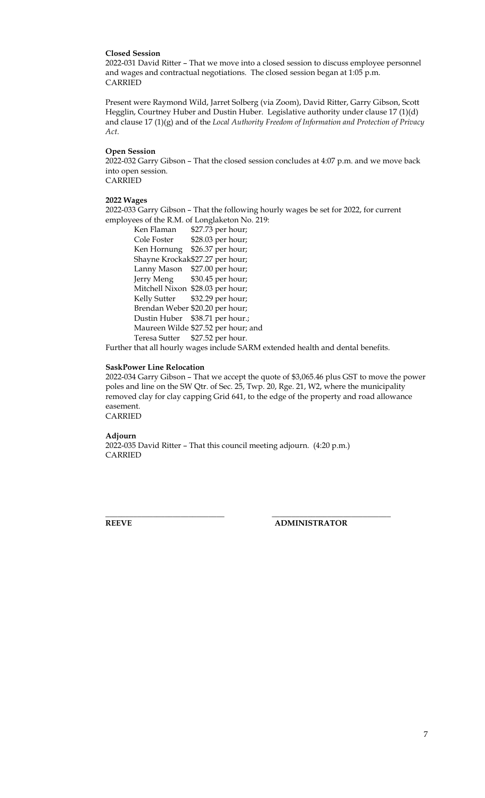### **Closed Session**

2022-031 David Ritter – That we move into a closed session to discuss employee personnel and wages and contractual negotiations. The closed session began at 1:05 p.m. CARRIED

Present were Raymond Wild, Jarret Solberg (via Zoom), David Ritter, Garry Gibson, Scott Hegglin, Courtney Huber and Dustin Huber. Legislative authority under clause 17 (1)(d) and clause 17 (1)(g) and of the *Local Authority Freedom of Information and Protection of Privacy Act*.

#### **Open Session**

2022-032 Garry Gibson – That the closed session concludes at 4:07 p.m. and we move back into open session. CARRIED

## **2022 Wages**

2022-033 Garry Gibson – That the following hourly wages be set for 2022, for current employees of the R.M. of Longlaketon No. 219:

| Ken Flaman           | \$27.73 per hour;                   |
|----------------------|-------------------------------------|
| Cole Foster          | \$28.03 per hour;                   |
| Ken Hornung          | \$26.37 per hour;                   |
|                      | Shayne Krockak\$27.27 per hour;     |
| Lanny Mason          | \$27.00 per hour;                   |
| Jerry Meng           | \$30.45 per hour;                   |
| Mitchell Nixon       | \$28.03 per hour;                   |
| <b>Kelly Sutter</b>  | \$32.29 per hour;                   |
|                      | Brendan Weber \$20.20 per hour;     |
| Dustin Huber         | \$38.71 per hour.;                  |
|                      | Maureen Wilde \$27.52 per hour; and |
| <b>Teresa Sutter</b> | \$27.52 per hour.                   |

Further that all hourly wages include SARM extended health and dental benefits.

### **SaskPower Line Relocation**

2022-034 Garry Gibson – That we accept the quote of \$3,065.46 plus GST to move the power poles and line on the SW Qtr. of Sec. 25, Twp. 20, Rge. 21, W2, where the municipality removed clay for clay capping Grid 641, to the edge of the property and road allowance easement.

CARRIED

### **Adjourn**

2022-035 David Ritter – That this council meeting adjourn. (4:20 p.m.) CARRIED

**\_\_\_\_\_\_\_\_\_\_\_\_\_\_\_\_\_\_\_\_\_\_\_\_\_\_\_\_\_\_ \_\_\_\_\_\_\_\_\_\_\_\_\_\_\_\_\_\_\_\_\_\_\_\_\_\_\_\_\_\_**

**REEVE ADMINISTRATOR**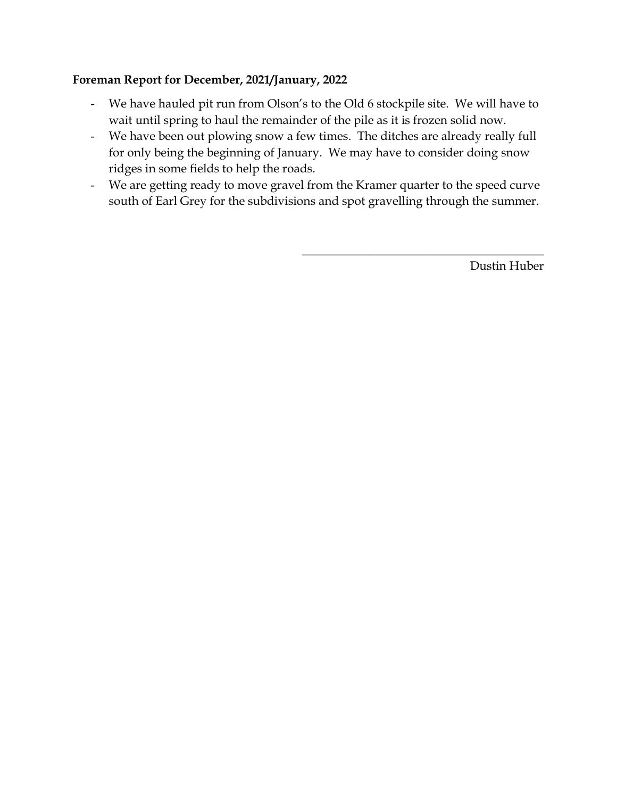# **Foreman Report for December, 2021/January, 2022**

- We have hauled pit run from Olson's to the Old 6 stockpile site. We will have to wait until spring to haul the remainder of the pile as it is frozen solid now.
- We have been out plowing snow a few times. The ditches are already really full for only being the beginning of January. We may have to consider doing snow ridges in some fields to help the roads.
- We are getting ready to move gravel from the Kramer quarter to the speed curve south of Earl Grey for the subdivisions and spot gravelling through the summer.

Dustin Huber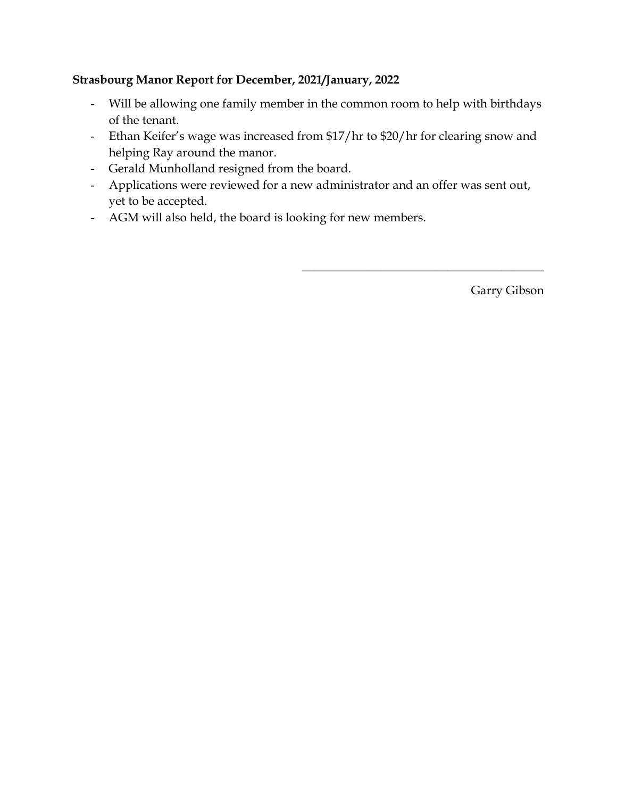# **Strasbourg Manor Report for December, 2021/January, 2022**

- Will be allowing one family member in the common room to help with birthdays of the tenant.
- Ethan Keifer's wage was increased from \$17/hr to \$20/hr for clearing snow and helping Ray around the manor.
- Gerald Munholland resigned from the board.
- Applications were reviewed for a new administrator and an offer was sent out, yet to be accepted.
- AGM will also held, the board is looking for new members.

Garry Gibson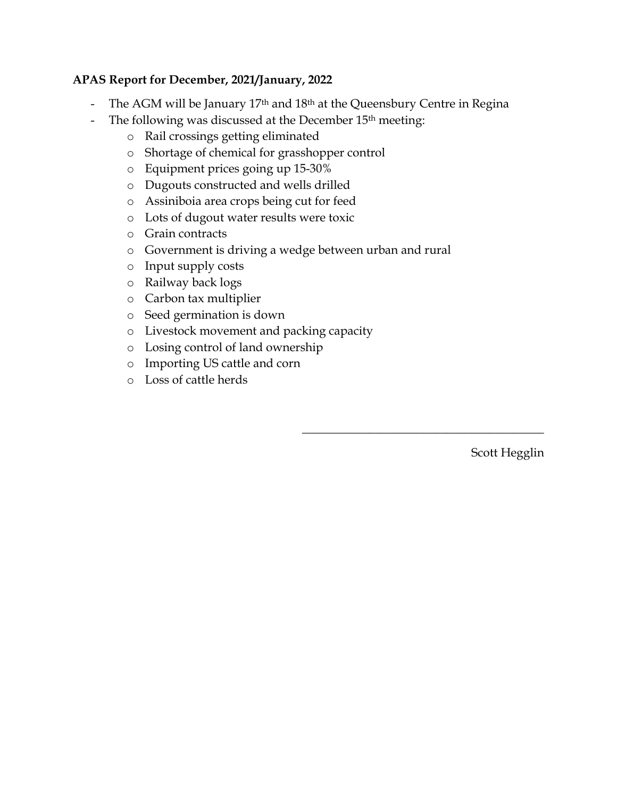# **APAS Report for December, 2021/January, 2022**

- The AGM will be January 17<sup>th</sup> and 18<sup>th</sup> at the Queensbury Centre in Regina
- The following was discussed at the December 15<sup>th</sup> meeting:
	- o Rail crossings getting eliminated
	- o Shortage of chemical for grasshopper control
	- o Equipment prices going up 15-30%
	- o Dugouts constructed and wells drilled
	- o Assiniboia area crops being cut for feed
	- o Lots of dugout water results were toxic
	- o Grain contracts
	- o Government is driving a wedge between urban and rural
	- o Input supply costs
	- o Railway back logs
	- o Carbon tax multiplier
	- o Seed germination is down
	- o Livestock movement and packing capacity
	- o Losing control of land ownership
	- o Importing US cattle and corn
	- o Loss of cattle herds

Scott Hegglin

 $\overline{\phantom{a}}$  , and the set of the set of the set of the set of the set of the set of the set of the set of the set of the set of the set of the set of the set of the set of the set of the set of the set of the set of the s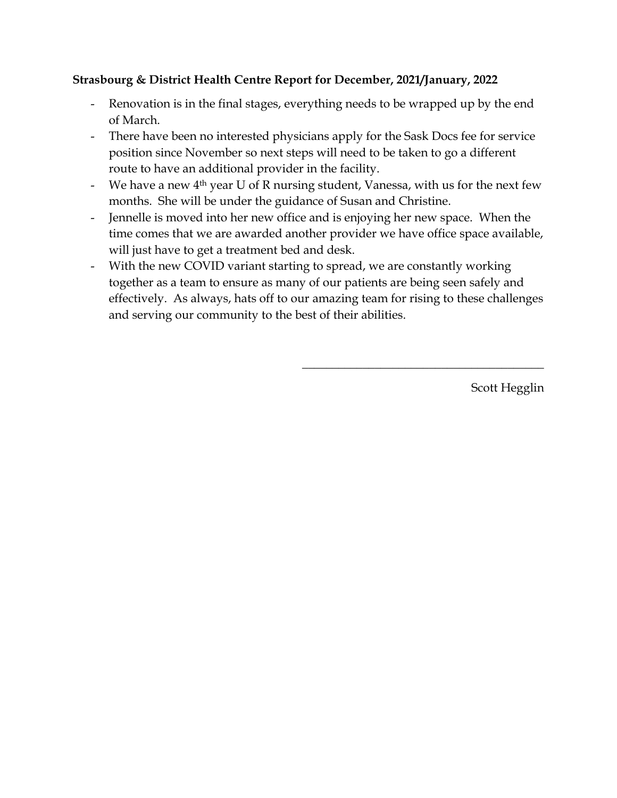# **Strasbourg & District Health Centre Report for December, 2021/January, 2022**

- Renovation is in the final stages, everything needs to be wrapped up by the end of March.
- There have been no interested physicians apply for the Sask Docs fee for service position since November so next steps will need to be taken to go a different route to have an additional provider in the facility.
- We have a new  $4<sup>th</sup>$  year U of R nursing student, Vanessa, with us for the next few months. She will be under the guidance of Susan and Christine.
- Jennelle is moved into her new office and is enjoying her new space. When the time comes that we are awarded another provider we have office space available, will just have to get a treatment bed and desk.
- With the new COVID variant starting to spread, we are constantly working together as a team to ensure as many of our patients are being seen safely and effectively. As always, hats off to our amazing team for rising to these challenges and serving our community to the best of their abilities.

Scott Hegglin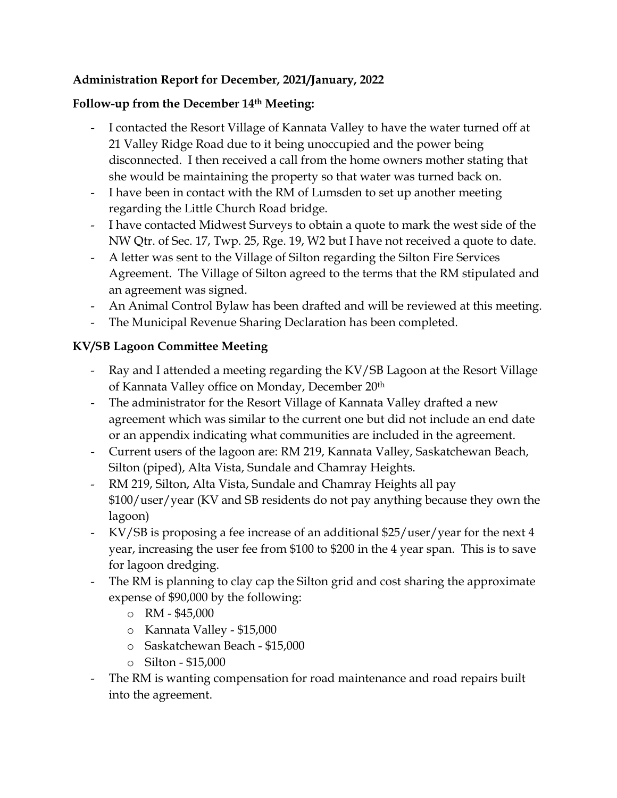# **Administration Report for December, 2021/January, 2022**

# **Follow-up from the December 14th Meeting:**

- I contacted the Resort Village of Kannata Valley to have the water turned off at 21 Valley Ridge Road due to it being unoccupied and the power being disconnected. I then received a call from the home owners mother stating that she would be maintaining the property so that water was turned back on.
- I have been in contact with the RM of Lumsden to set up another meeting regarding the Little Church Road bridge.
- I have contacted Midwest Surveys to obtain a quote to mark the west side of the NW Qtr. of Sec. 17, Twp. 25, Rge. 19, W2 but I have not received a quote to date.
- A letter was sent to the Village of Silton regarding the Silton Fire Services Agreement. The Village of Silton agreed to the terms that the RM stipulated and an agreement was signed.
- An Animal Control Bylaw has been drafted and will be reviewed at this meeting.
- The Municipal Revenue Sharing Declaration has been completed.

# **KV/SB Lagoon Committee Meeting**

- Ray and I attended a meeting regarding the KV/SB Lagoon at the Resort Village of Kannata Valley office on Monday, December 20th
- The administrator for the Resort Village of Kannata Valley drafted a new agreement which was similar to the current one but did not include an end date or an appendix indicating what communities are included in the agreement.
- Current users of the lagoon are: RM 219, Kannata Valley, Saskatchewan Beach, Silton (piped), Alta Vista, Sundale and Chamray Heights.
- RM 219, Silton, Alta Vista, Sundale and Chamray Heights all pay \$100/user/year (KV and SB residents do not pay anything because they own the lagoon)
- KV/SB is proposing a fee increase of an additional \$25/user/year for the next 4 year, increasing the user fee from \$100 to \$200 in the 4 year span. This is to save for lagoon dredging.
- The RM is planning to clay cap the Silton grid and cost sharing the approximate expense of \$90,000 by the following:
	- $\circ$  RM \$45,000
	- o Kannata Valley \$15,000
	- o Saskatchewan Beach \$15,000
	- o Silton \$15,000
- The RM is wanting compensation for road maintenance and road repairs built into the agreement.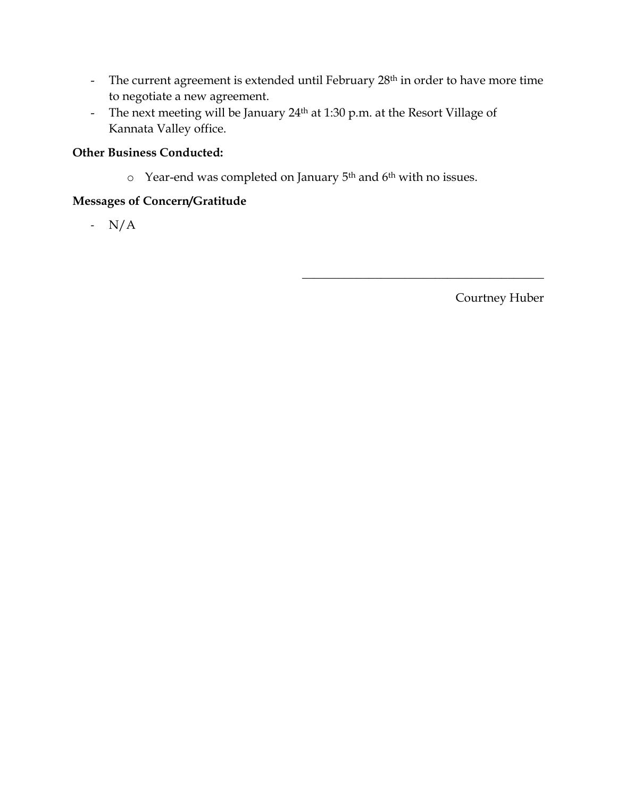- The current agreement is extended until February 28<sup>th</sup> in order to have more time to negotiate a new agreement.
- The next meeting will be January 24<sup>th</sup> at 1:30 p.m. at the Resort Village of Kannata Valley office.

# **Other Business Conducted:**

 $\circ$  Year-end was completed on January 5<sup>th</sup> and 6<sup>th</sup> with no issues.

# **Messages of Concern/Gratitude**

- N/A

Courtney Huber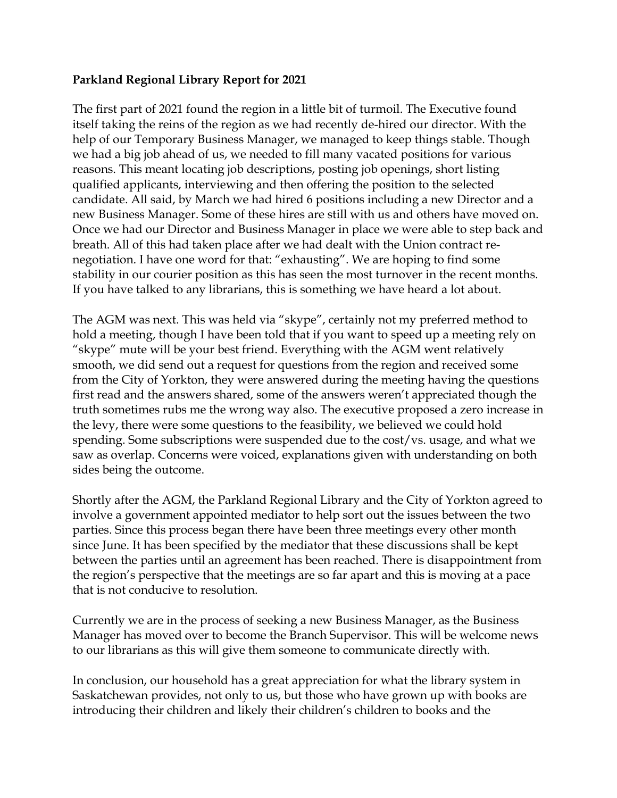# **Parkland Regional Library Report for 2021**

The first part of 2021 found the region in a little bit of turmoil. The Executive found itself taking the reins of the region as we had recently de-hired our director. With the help of our Temporary Business Manager, we managed to keep things stable. Though we had a big job ahead of us, we needed to fill many vacated positions for various reasons. This meant locating job descriptions, posting job openings, short listing qualified applicants, interviewing and then offering the position to the selected candidate. All said, by March we had hired 6 positions including a new Director and a new Business Manager. Some of these hires are still with us and others have moved on. Once we had our Director and Business Manager in place we were able to step back and breath. All of this had taken place after we had dealt with the Union contract renegotiation. I have one word for that: "exhausting". We are hoping to find some stability in our courier position as this has seen the most turnover in the recent months. If you have talked to any librarians, this is something we have heard a lot about.

The AGM was next. This was held via "skype", certainly not my preferred method to hold a meeting, though I have been told that if you want to speed up a meeting rely on "skype" mute will be your best friend. Everything with the AGM went relatively smooth, we did send out a request for questions from the region and received some from the City of Yorkton, they were answered during the meeting having the questions first read and the answers shared, some of the answers weren't appreciated though the truth sometimes rubs me the wrong way also. The executive proposed a zero increase in the levy, there were some questions to the feasibility, we believed we could hold spending. Some subscriptions were suspended due to the cost/vs. usage, and what we saw as overlap. Concerns were voiced, explanations given with understanding on both sides being the outcome.

Shortly after the AGM, the Parkland Regional Library and the City of Yorkton agreed to involve a government appointed mediator to help sort out the issues between the two parties. Since this process began there have been three meetings every other month since June. It has been specified by the mediator that these discussions shall be kept between the parties until an agreement has been reached. There is disappointment from the region's perspective that the meetings are so far apart and this is moving at a pace that is not conducive to resolution.

Currently we are in the process of seeking a new Business Manager, as the Business Manager has moved over to become the Branch Supervisor. This will be welcome news to our librarians as this will give them someone to communicate directly with.

In conclusion, our household has a great appreciation for what the library system in Saskatchewan provides, not only to us, but those who have grown up with books are introducing their children and likely their children's children to books and the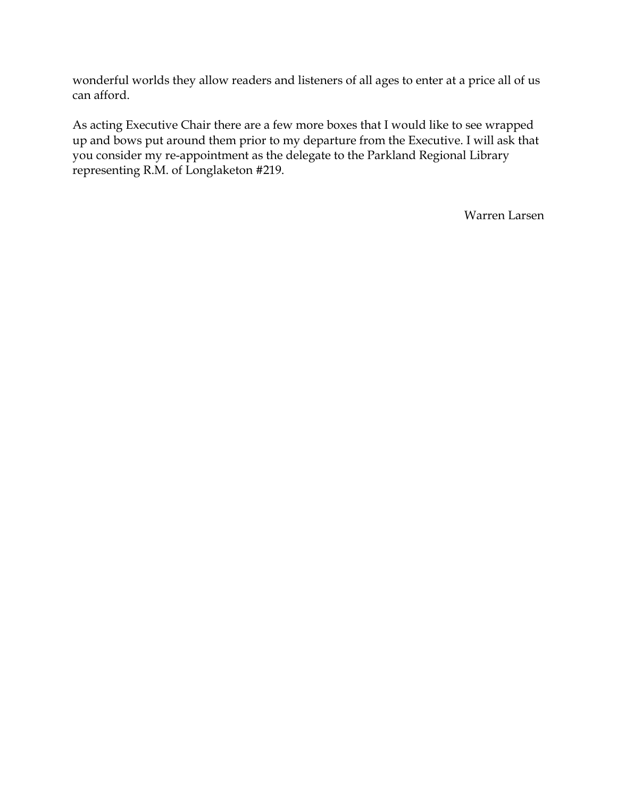wonderful worlds they allow readers and listeners of all ages to enter at a price all of us can afford.

As acting Executive Chair there are a few more boxes that I would like to see wrapped up and bows put around them prior to my departure from the Executive. I will ask that you consider my re-appointment as the delegate to the Parkland Regional Library representing R.M. of Longlaketon #219.

Warren Larsen